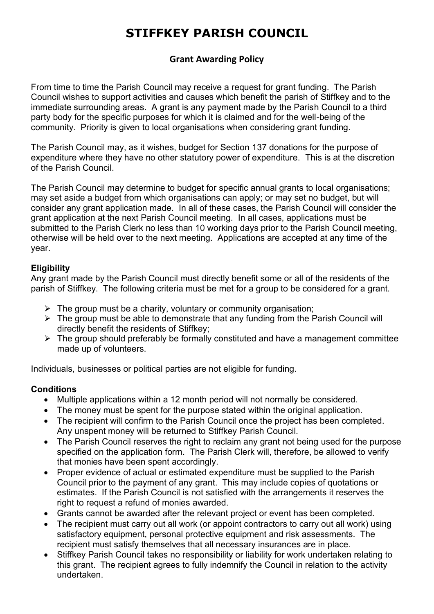# **STIFFKEY PARISH COUNCIL**

# **Grant Awarding Policy**

From time to time the Parish Council may receive a request for grant funding. The Parish Council wishes to support activities and causes which benefit the parish of Stiffkey and to the immediate surrounding areas. A grant is any payment made by the Parish Council to a third party body for the specific purposes for which it is claimed and for the well-being of the community. Priority is given to local organisations when considering grant funding.

The Parish Council may, as it wishes, budget for Section 137 donations for the purpose of expenditure where they have no other statutory power of expenditure. This is at the discretion of the Parish Council.

The Parish Council may determine to budget for specific annual grants to local organisations; may set aside a budget from which organisations can apply; or may set no budget, but will consider any grant application made. In all of these cases, the Parish Council will consider the grant application at the next Parish Council meeting. In all cases, applications must be submitted to the Parish Clerk no less than 10 working days prior to the Parish Council meeting, otherwise will be held over to the next meeting. Applications are accepted at any time of the year.

#### **Eligibility**

Any grant made by the Parish Council must directly benefit some or all of the residents of the parish of Stiffkey. The following criteria must be met for a group to be considered for a grant.

- $\triangleright$  The group must be a charity, voluntary or community organisation;
- $\triangleright$  The group must be able to demonstrate that any funding from the Parish Council will directly benefit the residents of Stiffkey;
- $\triangleright$  The group should preferably be formally constituted and have a management committee made up of volunteers.

Individuals, businesses or political parties are not eligible for funding.

#### **Conditions**

- Multiple applications within a 12 month period will not normally be considered.
- The money must be spent for the purpose stated within the original application.
- The recipient will confirm to the Parish Council once the project has been completed. Any unspent money will be returned to Stiffkey Parish Council.
- The Parish Council reserves the right to reclaim any grant not being used for the purpose specified on the application form. The Parish Clerk will, therefore, be allowed to verify that monies have been spent accordingly.
- Proper evidence of actual or estimated expenditure must be supplied to the Parish Council prior to the payment of any grant. This may include copies of quotations or estimates. If the Parish Council is not satisfied with the arrangements it reserves the right to request a refund of monies awarded.
- Grants cannot be awarded after the relevant project or event has been completed.
- The recipient must carry out all work (or appoint contractors to carry out all work) using satisfactory equipment, personal protective equipment and risk assessments. The recipient must satisfy themselves that all necessary insurances are in place.
- Stiffkey Parish Council takes no responsibility or liability for work undertaken relating to this grant. The recipient agrees to fully indemnify the Council in relation to the activity undertaken.